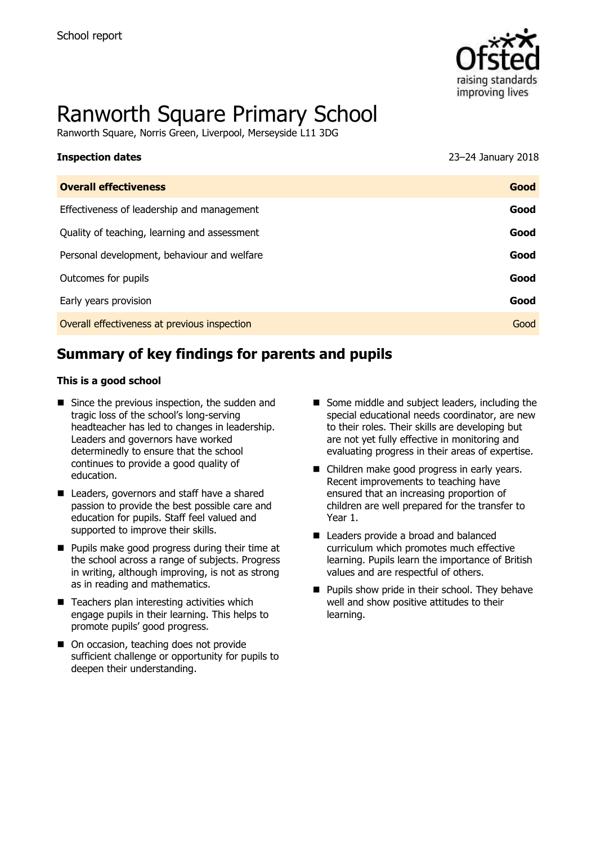

# Ranworth Square Primary School

Ranworth Square, Norris Green, Liverpool, Merseyside L11 3DG

| <b>Inspection dates</b>                      | 23-24 January 2018 |
|----------------------------------------------|--------------------|
| <b>Overall effectiveness</b>                 | Good               |
| Effectiveness of leadership and management   | Good               |
| Quality of teaching, learning and assessment | Good               |
| Personal development, behaviour and welfare  | Good               |
| Outcomes for pupils                          | Good               |
| Early years provision                        | Good               |
| Overall effectiveness at previous inspection | Good               |

# **Summary of key findings for parents and pupils**

#### **This is a good school**

- Since the previous inspection, the sudden and tragic loss of the school's long-serving headteacher has led to changes in leadership. Leaders and governors have worked determinedly to ensure that the school continues to provide a good quality of education.
- Leaders, governors and staff have a shared passion to provide the best possible care and education for pupils. Staff feel valued and supported to improve their skills.
- **Pupils make good progress during their time at** the school across a range of subjects. Progress in writing, although improving, is not as strong as in reading and mathematics.
- $\blacksquare$  Teachers plan interesting activities which engage pupils in their learning. This helps to promote pupils' good progress.
- On occasion, teaching does not provide sufficient challenge or opportunity for pupils to deepen their understanding.
- Some middle and subject leaders, including the special educational needs coordinator, are new to their roles. Their skills are developing but are not yet fully effective in monitoring and evaluating progress in their areas of expertise.
- Children make good progress in early years. Recent improvements to teaching have ensured that an increasing proportion of children are well prepared for the transfer to Year 1.
- Leaders provide a broad and balanced curriculum which promotes much effective learning. Pupils learn the importance of British values and are respectful of others.
- **Pupils show pride in their school. They behave** well and show positive attitudes to their learning.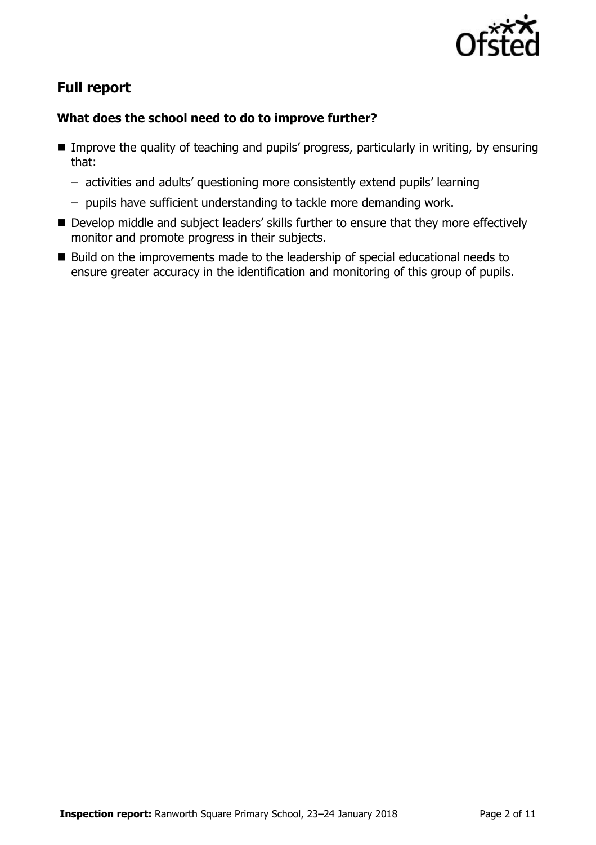

# **Full report**

### **What does the school need to do to improve further?**

- Improve the quality of teaching and pupils' progress, particularly in writing, by ensuring that:
	- activities and adults' questioning more consistently extend pupils' learning
	- pupils have sufficient understanding to tackle more demanding work.
- Develop middle and subject leaders' skills further to ensure that they more effectively monitor and promote progress in their subjects.
- Build on the improvements made to the leadership of special educational needs to ensure greater accuracy in the identification and monitoring of this group of pupils.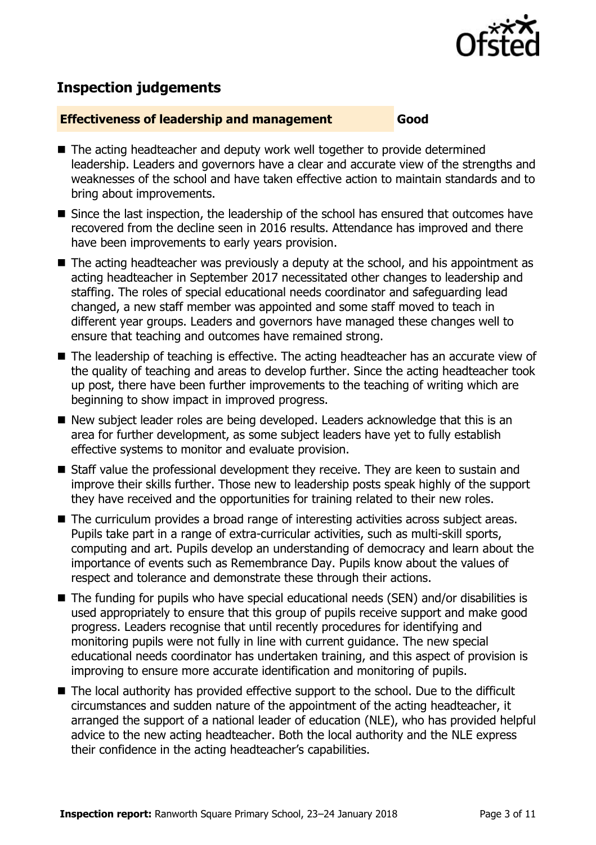

# **Inspection judgements**

#### **Effectiveness of leadership and management Good**

- The acting headteacher and deputy work well together to provide determined leadership. Leaders and governors have a clear and accurate view of the strengths and weaknesses of the school and have taken effective action to maintain standards and to bring about improvements.
- Since the last inspection, the leadership of the school has ensured that outcomes have recovered from the decline seen in 2016 results. Attendance has improved and there have been improvements to early years provision.
- The acting headteacher was previously a deputy at the school, and his appointment as acting headteacher in September 2017 necessitated other changes to leadership and staffing. The roles of special educational needs coordinator and safeguarding lead changed, a new staff member was appointed and some staff moved to teach in different year groups. Leaders and governors have managed these changes well to ensure that teaching and outcomes have remained strong.
- The leadership of teaching is effective. The acting headteacher has an accurate view of the quality of teaching and areas to develop further. Since the acting headteacher took up post, there have been further improvements to the teaching of writing which are beginning to show impact in improved progress.
- New subject leader roles are being developed. Leaders acknowledge that this is an area for further development, as some subject leaders have yet to fully establish effective systems to monitor and evaluate provision.
- Staff value the professional development they receive. They are keen to sustain and improve their skills further. Those new to leadership posts speak highly of the support they have received and the opportunities for training related to their new roles.
- The curriculum provides a broad range of interesting activities across subject areas. Pupils take part in a range of extra-curricular activities, such as multi-skill sports, computing and art. Pupils develop an understanding of democracy and learn about the importance of events such as Remembrance Day. Pupils know about the values of respect and tolerance and demonstrate these through their actions.
- The funding for pupils who have special educational needs (SEN) and/or disabilities is used appropriately to ensure that this group of pupils receive support and make good progress. Leaders recognise that until recently procedures for identifying and monitoring pupils were not fully in line with current guidance. The new special educational needs coordinator has undertaken training, and this aspect of provision is improving to ensure more accurate identification and monitoring of pupils.
- The local authority has provided effective support to the school. Due to the difficult circumstances and sudden nature of the appointment of the acting headteacher, it arranged the support of a national leader of education (NLE), who has provided helpful advice to the new acting headteacher. Both the local authority and the NLE express their confidence in the acting headteacher's capabilities.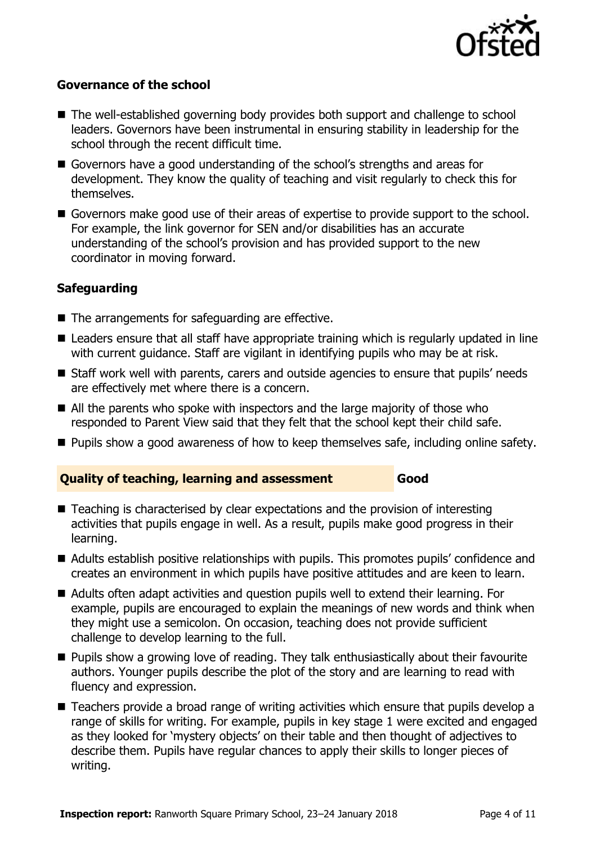

#### **Governance of the school**

- The well-established governing body provides both support and challenge to school leaders. Governors have been instrumental in ensuring stability in leadership for the school through the recent difficult time.
- Governors have a good understanding of the school's strengths and areas for development. They know the quality of teaching and visit regularly to check this for themselves.
- Governors make good use of their areas of expertise to provide support to the school. For example, the link governor for SEN and/or disabilities has an accurate understanding of the school's provision and has provided support to the new coordinator in moving forward.

### **Safeguarding**

- The arrangements for safeguarding are effective.
- Leaders ensure that all staff have appropriate training which is regularly updated in line with current guidance. Staff are vigilant in identifying pupils who may be at risk.
- Staff work well with parents, carers and outside agencies to ensure that pupils' needs are effectively met where there is a concern.
- All the parents who spoke with inspectors and the large majority of those who responded to Parent View said that they felt that the school kept their child safe.
- Pupils show a good awareness of how to keep themselves safe, including online safety.

### **Quality of teaching, learning and assessment Good**

- Teaching is characterised by clear expectations and the provision of interesting activities that pupils engage in well. As a result, pupils make good progress in their learning.
- Adults establish positive relationships with pupils. This promotes pupils' confidence and creates an environment in which pupils have positive attitudes and are keen to learn.
- Adults often adapt activities and question pupils well to extend their learning. For example, pupils are encouraged to explain the meanings of new words and think when they might use a semicolon. On occasion, teaching does not provide sufficient challenge to develop learning to the full.
- **Pupils show a growing love of reading. They talk enthusiastically about their favourite** authors. Younger pupils describe the plot of the story and are learning to read with fluency and expression.
- Teachers provide a broad range of writing activities which ensure that pupils develop a range of skills for writing. For example, pupils in key stage 1 were excited and engaged as they looked for 'mystery objects' on their table and then thought of adjectives to describe them. Pupils have regular chances to apply their skills to longer pieces of writing.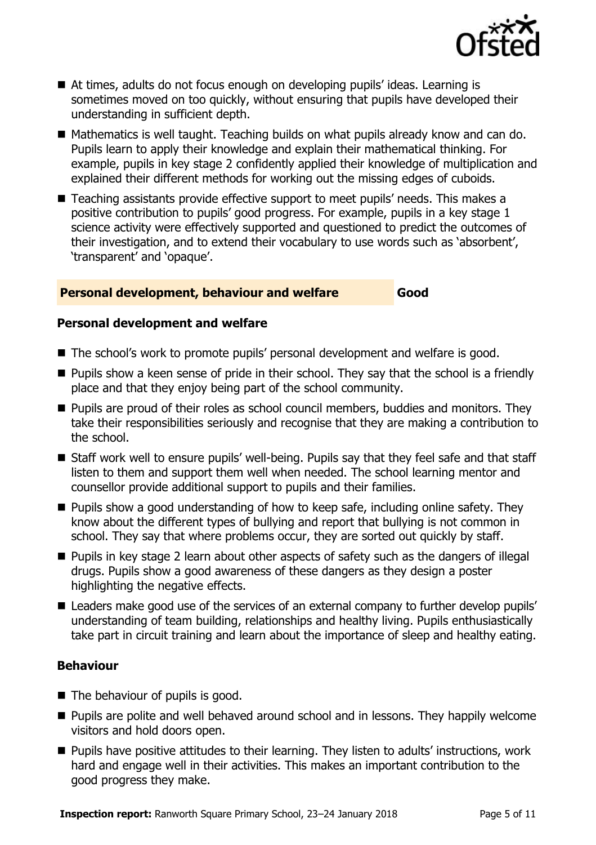

- At times, adults do not focus enough on developing pupils' ideas. Learning is sometimes moved on too quickly, without ensuring that pupils have developed their understanding in sufficient depth.
- Mathematics is well taught. Teaching builds on what pupils already know and can do. Pupils learn to apply their knowledge and explain their mathematical thinking. For example, pupils in key stage 2 confidently applied their knowledge of multiplication and explained their different methods for working out the missing edges of cuboids.
- Teaching assistants provide effective support to meet pupils' needs. This makes a positive contribution to pupils' good progress. For example, pupils in a key stage 1 science activity were effectively supported and questioned to predict the outcomes of their investigation, and to extend their vocabulary to use words such as 'absorbent', 'transparent' and 'opaque'.

#### **Personal development, behaviour and welfare Good**

#### **Personal development and welfare**

- The school's work to promote pupils' personal development and welfare is good.
- **Pupils show a keen sense of pride in their school. They say that the school is a friendly** place and that they enjoy being part of the school community.
- **Pupils are proud of their roles as school council members, buddies and monitors. They** take their responsibilities seriously and recognise that they are making a contribution to the school.
- Staff work well to ensure pupils' well-being. Pupils say that they feel safe and that staff listen to them and support them well when needed. The school learning mentor and counsellor provide additional support to pupils and their families.
- $\blacksquare$  Pupils show a good understanding of how to keep safe, including online safety. They know about the different types of bullying and report that bullying is not common in school. They say that where problems occur, they are sorted out quickly by staff.
- **Pupils in key stage 2 learn about other aspects of safety such as the dangers of illegal** drugs. Pupils show a good awareness of these dangers as they design a poster highlighting the negative effects.
- Leaders make good use of the services of an external company to further develop pupils' understanding of team building, relationships and healthy living. Pupils enthusiastically take part in circuit training and learn about the importance of sleep and healthy eating.

### **Behaviour**

- $\blacksquare$  The behaviour of pupils is good.
- **Pupils are polite and well behaved around school and in lessons. They happily welcome** visitors and hold doors open.
- **Pupils have positive attitudes to their learning. They listen to adults' instructions, work** hard and engage well in their activities. This makes an important contribution to the good progress they make.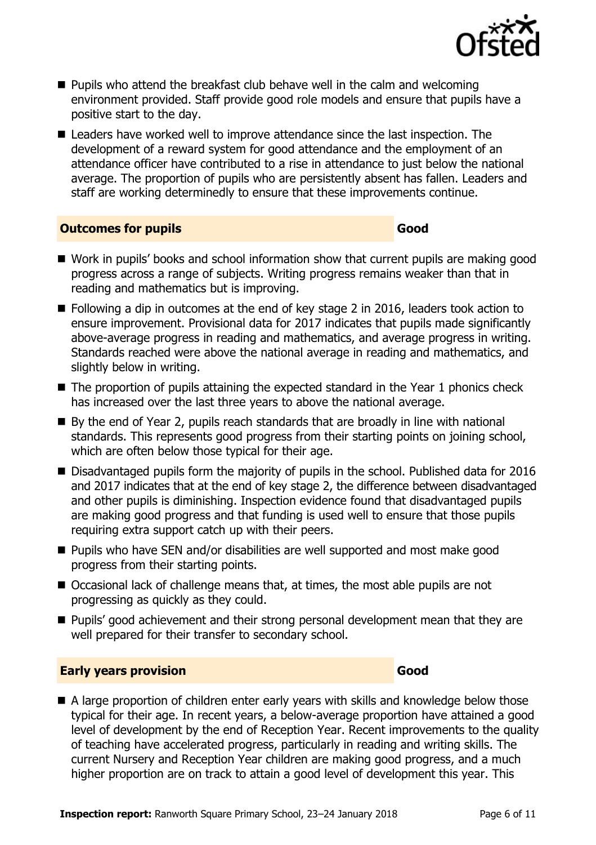

- **Pupils who attend the breakfast club behave well in the calm and welcoming** environment provided. Staff provide good role models and ensure that pupils have a positive start to the day.
- Leaders have worked well to improve attendance since the last inspection. The development of a reward system for good attendance and the employment of an attendance officer have contributed to a rise in attendance to just below the national average. The proportion of pupils who are persistently absent has fallen. Leaders and staff are working determinedly to ensure that these improvements continue.

#### **Outcomes for pupils Good**

- Work in pupils' books and school information show that current pupils are making good progress across a range of subjects. Writing progress remains weaker than that in reading and mathematics but is improving.
- Following a dip in outcomes at the end of key stage 2 in 2016, leaders took action to ensure improvement. Provisional data for 2017 indicates that pupils made significantly above-average progress in reading and mathematics, and average progress in writing. Standards reached were above the national average in reading and mathematics, and slightly below in writing.
- The proportion of pupils attaining the expected standard in the Year 1 phonics check has increased over the last three years to above the national average.
- By the end of Year 2, pupils reach standards that are broadly in line with national standards. This represents good progress from their starting points on joining school, which are often below those typical for their age.
- Disadvantaged pupils form the majority of pupils in the school. Published data for 2016 and 2017 indicates that at the end of key stage 2, the difference between disadvantaged and other pupils is diminishing. Inspection evidence found that disadvantaged pupils are making good progress and that funding is used well to ensure that those pupils requiring extra support catch up with their peers.
- Pupils who have SEN and/or disabilities are well supported and most make good progress from their starting points.
- Occasional lack of challenge means that, at times, the most able pupils are not progressing as quickly as they could.
- Pupils' good achievement and their strong personal development mean that they are well prepared for their transfer to secondary school.

### **Early years provision Good Good**

A large proportion of children enter early years with skills and knowledge below those typical for their age. In recent years, a below-average proportion have attained a good level of development by the end of Reception Year. Recent improvements to the quality of teaching have accelerated progress, particularly in reading and writing skills. The current Nursery and Reception Year children are making good progress, and a much higher proportion are on track to attain a good level of development this year. This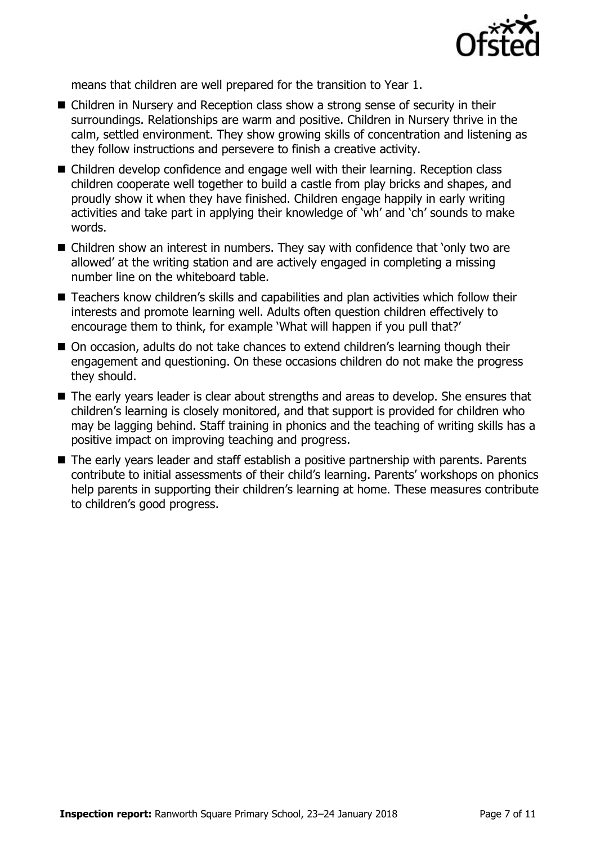

means that children are well prepared for the transition to Year 1.

- Children in Nursery and Reception class show a strong sense of security in their surroundings. Relationships are warm and positive. Children in Nursery thrive in the calm, settled environment. They show growing skills of concentration and listening as they follow instructions and persevere to finish a creative activity.
- Children develop confidence and engage well with their learning. Reception class children cooperate well together to build a castle from play bricks and shapes, and proudly show it when they have finished. Children engage happily in early writing activities and take part in applying their knowledge of 'wh' and 'ch' sounds to make words.
- Children show an interest in numbers. They say with confidence that 'only two are allowed' at the writing station and are actively engaged in completing a missing number line on the whiteboard table.
- Teachers know children's skills and capabilities and plan activities which follow their interests and promote learning well. Adults often question children effectively to encourage them to think, for example 'What will happen if you pull that?'
- On occasion, adults do not take chances to extend children's learning though their engagement and questioning. On these occasions children do not make the progress they should.
- The early years leader is clear about strengths and areas to develop. She ensures that children's learning is closely monitored, and that support is provided for children who may be lagging behind. Staff training in phonics and the teaching of writing skills has a positive impact on improving teaching and progress.
- The early years leader and staff establish a positive partnership with parents. Parents contribute to initial assessments of their child's learning. Parents' workshops on phonics help parents in supporting their children's learning at home. These measures contribute to children's good progress.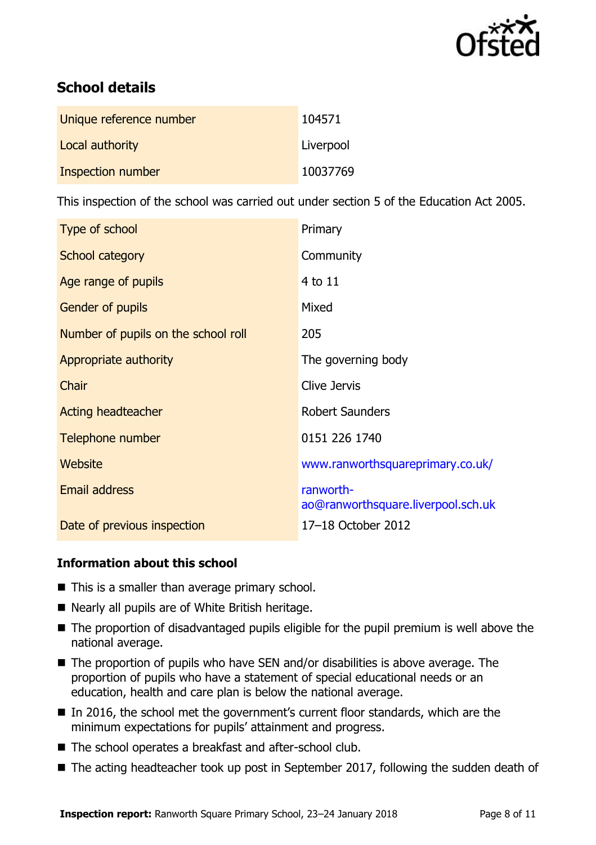

# **School details**

| Unique reference number | 104571    |
|-------------------------|-----------|
| Local authority         | Liverpool |
| Inspection number       | 10037769  |

This inspection of the school was carried out under section 5 of the Education Act 2005.

| Type of school                      | Primary                                         |
|-------------------------------------|-------------------------------------------------|
| School category                     | Community                                       |
| Age range of pupils                 | 4 to 11                                         |
| <b>Gender of pupils</b>             | Mixed                                           |
| Number of pupils on the school roll | 205                                             |
| Appropriate authority               | The governing body                              |
| Chair                               | Clive Jervis                                    |
| <b>Acting headteacher</b>           | <b>Robert Saunders</b>                          |
| Telephone number                    | 0151 226 1740                                   |
| Website                             | www.ranworthsquareprimary.co.uk/                |
| Email address                       | ranworth-<br>ao@ranworthsquare.liverpool.sch.uk |
| Date of previous inspection         | 17-18 October 2012                              |

### **Information about this school**

- $\blacksquare$  This is a smaller than average primary school.
- Nearly all pupils are of White British heritage.
- The proportion of disadvantaged pupils eligible for the pupil premium is well above the national average.
- The proportion of pupils who have SEN and/or disabilities is above average. The proportion of pupils who have a statement of special educational needs or an education, health and care plan is below the national average.
- In 2016, the school met the government's current floor standards, which are the minimum expectations for pupils' attainment and progress.
- The school operates a breakfast and after-school club.
- The acting headteacher took up post in September 2017, following the sudden death of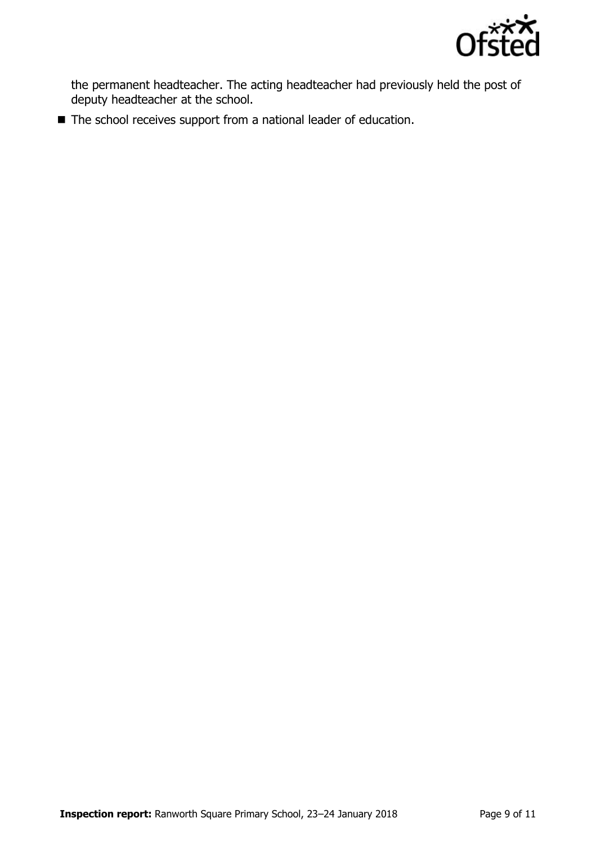

the permanent headteacher. The acting headteacher had previously held the post of deputy headteacher at the school.

■ The school receives support from a national leader of education.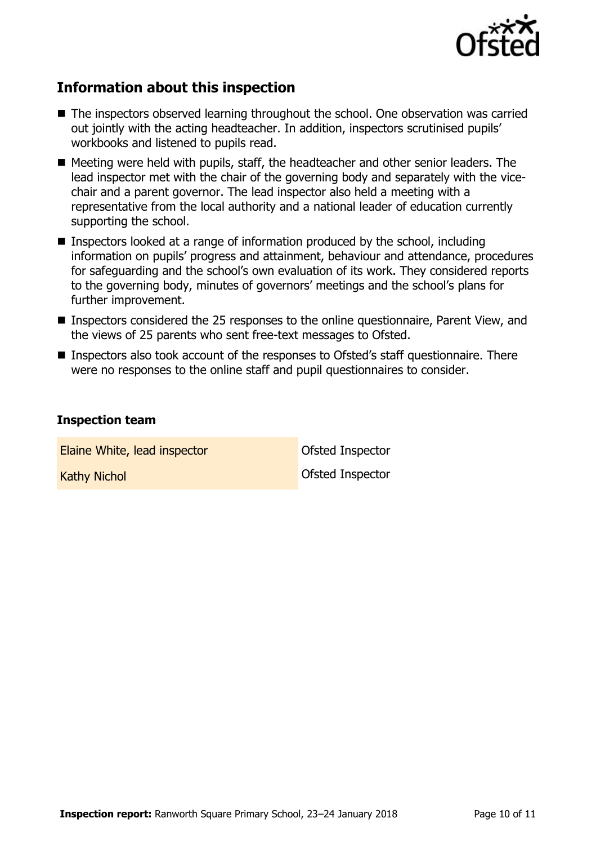

# **Information about this inspection**

- The inspectors observed learning throughout the school. One observation was carried out jointly with the acting headteacher. In addition, inspectors scrutinised pupils' workbooks and listened to pupils read.
- Meeting were held with pupils, staff, the headteacher and other senior leaders. The lead inspector met with the chair of the governing body and separately with the vicechair and a parent governor. The lead inspector also held a meeting with a representative from the local authority and a national leader of education currently supporting the school.
- Inspectors looked at a range of information produced by the school, including information on pupils' progress and attainment, behaviour and attendance, procedures for safeguarding and the school's own evaluation of its work. They considered reports to the governing body, minutes of governors' meetings and the school's plans for further improvement.
- Inspectors considered the 25 responses to the online questionnaire, Parent View, and the views of 25 parents who sent free-text messages to Ofsted.
- Inspectors also took account of the responses to Ofsted's staff questionnaire. There were no responses to the online staff and pupil questionnaires to consider.

#### **Inspection team**

Elaine White, lead inspector **Constanting Constanting Constanting Constanting Constanting Constanting Constanting Constanting Constanting Constanting Constanting Constanting Constanting Constanting Constanting Constanting** 

Kathy Nichol Ofsted Inspector